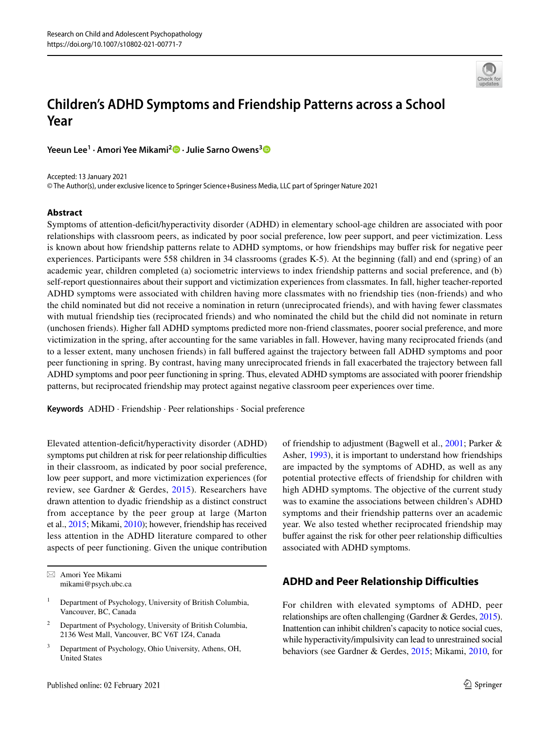

# **Children's ADHD Symptoms and Friendship Patterns across a School Year**

**Yeeun Lee1 · Amori Yee Mikami<sup>2</sup> · Julie Sarno Owens[3](http://orcid.org/0000-0002-4674-9637)**

Accepted: 13 January 2021 © The Author(s), under exclusive licence to Springer Science+Business Media, LLC part of Springer Nature 2021

## **Abstract**

Symptoms of attention-defcit/hyperactivity disorder (ADHD) in elementary school-age children are associated with poor relationships with classroom peers, as indicated by poor social preference, low peer support, and peer victimization. Less is known about how friendship patterns relate to ADHD symptoms, or how friendships may bufer risk for negative peer experiences. Participants were 558 children in 34 classrooms (grades K-5). At the beginning (fall) and end (spring) of an academic year, children completed (a) sociometric interviews to index friendship patterns and social preference, and (b) self-report questionnaires about their support and victimization experiences from classmates. In fall, higher teacher-reported ADHD symptoms were associated with children having more classmates with no friendship ties (non-friends) and who the child nominated but did not receive a nomination in return (unreciprocated friends), and with having fewer classmates with mutual friendship ties (reciprocated friends) and who nominated the child but the child did not nominate in return (unchosen friends). Higher fall ADHD symptoms predicted more non-friend classmates, poorer social preference, and more victimization in the spring, after accounting for the same variables in fall. However, having many reciprocated friends (and to a lesser extent, many unchosen friends) in fall bufered against the trajectory between fall ADHD symptoms and poor peer functioning in spring. By contrast, having many unreciprocated friends in fall exacerbated the trajectory between fall ADHD symptoms and poor peer functioning in spring. Thus, elevated ADHD symptoms are associated with poorer friendship patterns, but reciprocated friendship may protect against negative classroom peer experiences over time.

**Keywords** ADHD · Friendship · Peer relationships · Social preference

Elevated attention-deficit/hyperactivity disorder (ADHD) symptoms put children at risk for peer relationship difficulties in their classroom, as indicated by poor social preference, low peer support, and more victimization experiences (for review, see Gardner & Gerdes, [2015\)](#page-12-0). Researchers have drawn attention to dyadic friendship as a distinct construct from acceptance by the peer group at large (Marton et al., [2015;](#page-13-0) Mikami, [2010\)](#page-13-1); however, friendship has received less attention in the ADHD literature compared to other aspects of peer functioning. Given the unique contribution

 $\boxtimes$  Amori Yee Mikami mikami@psych.ubc.ca

- <sup>1</sup> Department of Psychology, University of British Columbia, Vancouver, BC, Canada
- <sup>2</sup> Department of Psychology, University of British Columbia, 2136 West Mall, Vancouver, BC V6T 1Z4, Canada
- Department of Psychology, Ohio University, Athens, OH, United States

of friendship to adjustment (Bagwell et al., [2001](#page-12-1); Parker & Asher, [1993\)](#page-13-2), it is important to understand how friendships are impacted by the symptoms of ADHD, as well as any potential protective efects of friendship for children with high ADHD symptoms. The objective of the current study was to examine the associations between children's ADHD symptoms and their friendship patterns over an academic year. We also tested whether reciprocated friendship may buffer against the risk for other peer relationship difficulties associated with ADHD symptoms.

# **ADHD and Peer Relationship Difficulties**

For children with elevated symptoms of ADHD, peer relationships are often challenging (Gardner & Gerdes, [2015\)](#page-12-0). Inattention can inhibit children's capacity to notice social cues, while hyperactivity/impulsivity can lead to unrestrained social behaviors (see Gardner & Gerdes, [2015](#page-12-0); Mikami, [2010,](#page-13-1) for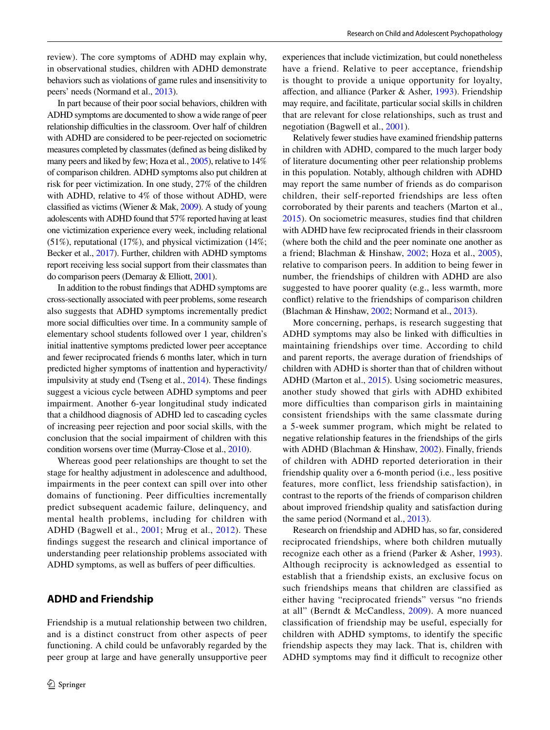review). The core symptoms of ADHD may explain why, in observational studies, children with ADHD demonstrate behaviors such as violations of game rules and insensitivity to peers' needs (Normand et al., [2013](#page-13-3)).

In part because of their poor social behaviors, children with ADHD symptoms are documented to show a wide range of peer relationship difficulties in the classroom. Over half of children with ADHD are considered to be peer-rejected on sociometric measures completed by classmates (defned as being disliked by many peers and liked by few; Hoza et al., [2005](#page-12-2)), relative to 14% of comparison children. ADHD symptoms also put children at risk for peer victimization. In one study, 27% of the children with ADHD, relative to 4% of those without ADHD, were classifed as victims (Wiener & Mak, [2009\)](#page-13-4). A study of young adolescents with ADHD found that 57% reported having at least one victimization experience every week, including relational (51%), reputational (17%), and physical victimization (14%; Becker et al., [2017](#page-12-3)). Further, children with ADHD symptoms report receiving less social support from their classmates than do comparison peers (Demaray & Elliott, [2001\)](#page-12-4).

In addition to the robust fndings that ADHD symptoms are cross-sectionally associated with peer problems, some research also suggests that ADHD symptoms incrementally predict more social difficulties over time. In a community sample of elementary school students followed over 1 year, children's initial inattentive symptoms predicted lower peer acceptance and fewer reciprocated friends 6 months later, which in turn predicted higher symptoms of inattention and hyperactivity/ impulsivity at study end (Tseng et al., [2014\)](#page-13-5). These fndings suggest a vicious cycle between ADHD symptoms and peer impairment. Another 6-year longitudinal study indicated that a childhood diagnosis of ADHD led to cascading cycles of increasing peer rejection and poor social skills, with the conclusion that the social impairment of children with this condition worsens over time (Murray-Close et al., [2010\)](#page-13-6).

Whereas good peer relationships are thought to set the stage for healthy adjustment in adolescence and adulthood, impairments in the peer context can spill over into other domains of functioning. Peer difficulties incrementally predict subsequent academic failure, delinquency, and mental health problems, including for children with ADHD (Bagwell et al., [2001;](#page-12-1) Mrug et al., [2012\)](#page-13-7). These fndings suggest the research and clinical importance of understanding peer relationship problems associated with ADHD symptoms, as well as buffers of peer difficulties.

## **ADHD and Friendship**

Friendship is a mutual relationship between two children, and is a distinct construct from other aspects of peer functioning. A child could be unfavorably regarded by the peer group at large and have generally unsupportive peer experiences that include victimization, but could nonetheless have a friend. Relative to peer acceptance, friendship is thought to provide a unique opportunity for loyalty, afection, and alliance (Parker & Asher, [1993\)](#page-13-2). Friendship may require, and facilitate, particular social skills in children that are relevant for close relationships, such as trust and negotiation (Bagwell et al., [2001](#page-12-1)).

Relatively fewer studies have examined friendship patterns in children with ADHD, compared to the much larger body of literature documenting other peer relationship problems in this population. Notably, although children with ADHD may report the same number of friends as do comparison children, their self-reported friendships are less often corroborated by their parents and teachers (Marton et al., [2015](#page-13-0)). On sociometric measures, studies fnd that children with ADHD have few reciprocated friends in their classroom (where both the child and the peer nominate one another as a friend; Blachman & Hinshaw, [2002](#page-12-5); Hoza et al., [2005](#page-12-2)), relative to comparison peers. In addition to being fewer in number, the friendships of children with ADHD are also suggested to have poorer quality (e.g., less warmth, more confict) relative to the friendships of comparison children (Blachman & Hinshaw, [2002;](#page-12-5) Normand et al., [2013](#page-13-3)).

More concerning, perhaps, is research suggesting that ADHD symptoms may also be linked with difficulties in maintaining friendships over time. According to child and parent reports, the average duration of friendships of children with ADHD is shorter than that of children without ADHD (Marton et al., [2015\)](#page-13-0). Using sociometric measures, another study showed that girls with ADHD exhibited more difficulties than comparison girls in maintaining consistent friendships with the same classmate during a 5-week summer program, which might be related to negative relationship features in the friendships of the girls with ADHD (Blachman & Hinshaw, [2002\)](#page-12-5). Finally, friends of children with ADHD reported deterioration in their friendship quality over a 6-month period (i.e., less positive features, more conflict, less friendship satisfaction), in contrast to the reports of the friends of comparison children about improved friendship quality and satisfaction during the same period (Normand et al., [2013](#page-13-3)).

Research on friendship and ADHD has, so far, considered reciprocated friendships, where both children mutually recognize each other as a friend (Parker & Asher, [1993](#page-13-2)). Although reciprocity is acknowledged as essential to establish that a friendship exists, an exclusive focus on such friendships means that children are classified as either having "reciprocated friends" versus "no friends at all" (Berndt & McCandless, [2009](#page-12-6)). A more nuanced classifcation of friendship may be useful, especially for children with ADHD symptoms, to identify the specifc friendship aspects they may lack. That is, children with ADHD symptoms may find it difficult to recognize other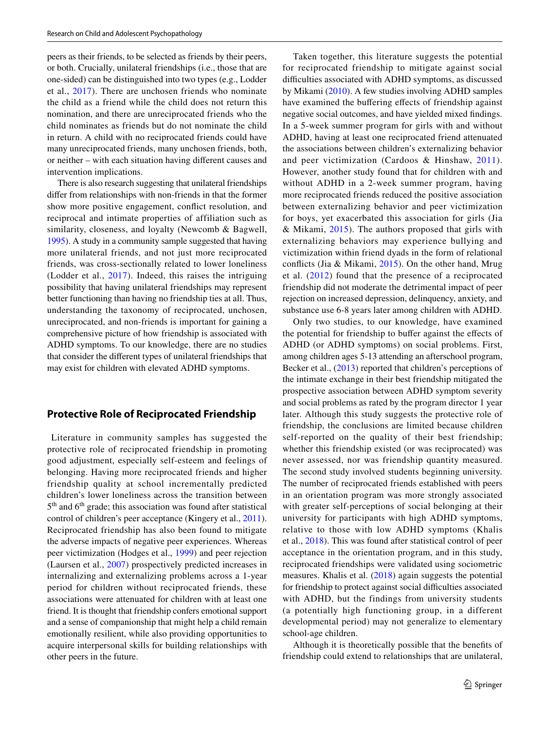peers as their friends, to be selected as friends by their peers, or both. Crucially, unilateral friendships (i.e., those that are one-sided) can be distinguished into two types (e.g., Lodder et al., [2017](#page-13-8)). There are unchosen friends who nominate the child as a friend while the child does not return this nomination, and there are unreciprocated friends who the child nominates as friends but do not nominate the child in return. A child with no reciprocated friends could have many unreciprocated friends, many unchosen friends, both, or neither – with each situation having diferent causes and intervention implications.

There is also research suggesting that unilateral friendships difer from relationships with non-friends in that the former show more positive engagement, confict resolution, and reciprocal and intimate properties of affiliation such as similarity, closeness, and loyalty (Newcomb & Bagwell, [1995\)](#page-13-9). A study in a community sample suggested that having more unilateral friends, and not just more reciprocated friends, was cross-sectionally related to lower loneliness (Lodder et al., [2017](#page-13-8)). Indeed, this raises the intriguing possibility that having unilateral friendships may represent better functioning than having no friendship ties at all. Thus, understanding the taxonomy of reciprocated, unchosen, unreciprocated, and non-friends is important for gaining a comprehensive picture of how friendship is associated with ADHD symptoms. To our knowledge, there are no studies that consider the diferent types of unilateral friendships that may exist for children with elevated ADHD symptoms.

## **Protective Role of Reciprocated Friendship**

 Literature in community samples has suggested the protective role of reciprocated friendship in promoting good adjustment, especially self-esteem and feelings of belonging. Having more reciprocated friends and higher friendship quality at school incrementally predicted children's lower loneliness across the transition between  $5<sup>th</sup>$  and  $6<sup>th</sup>$  grade; this association was found after statistical control of children's peer acceptance (Kingery et al., [2011](#page-12-7)). Reciprocated friendship has also been found to mitigate the adverse impacts of negative peer experiences. Whereas peer victimization (Hodges et al., [1999\)](#page-12-8) and peer rejection (Laursen et al., [2007](#page-13-10)) prospectively predicted increases in internalizing and externalizing problems across a 1-year period for children without reciprocated friends, these associations were attenuated for children with at least one friend. It is thought that friendship confers emotional support and a sense of companionship that might help a child remain emotionally resilient, while also providing opportunities to acquire interpersonal skills for building relationships with other peers in the future.

Taken together, this literature suggests the potential for reciprocated friendship to mitigate against social difficulties associated with ADHD symptoms, as discussed by Mikami ([2010\)](#page-13-1). A few studies involving ADHD samples have examined the buffering effects of friendship against negative social outcomes, and have yielded mixed fndings. In a 5-week summer program for girls with and without ADHD, having at least one reciprocated friend attenuated the associations between children's externalizing behavior and peer victimization (Cardoos & Hinshaw, [2011](#page-12-9)). However, another study found that for children with and without ADHD in a 2-week summer program, having more reciprocated friends reduced the positive association between externalizing behavior and peer victimization for boys, yet exacerbated this association for girls (Jia & Mikami, [2015\)](#page-12-10). The authors proposed that girls with externalizing behaviors may experience bullying and victimization within friend dyads in the form of relational conficts (Jia & Mikami, [2015](#page-12-10)). On the other hand, Mrug et al. ([2012\)](#page-13-7) found that the presence of a reciprocated friendship did not moderate the detrimental impact of peer rejection on increased depression, delinquency, anxiety, and substance use 6-8 years later among children with ADHD.

Only two studies, to our knowledge, have examined the potential for friendship to buffer against the effects of ADHD (or ADHD symptoms) on social problems. First, among children ages 5-13 attending an afterschool program, Becker et al., ([2013\)](#page-12-11) reported that children's perceptions of the intimate exchange in their best friendship mitigated the prospective association between ADHD symptom severity and social problems as rated by the program director 1 year later. Although this study suggests the protective role of friendship, the conclusions are limited because children self-reported on the quality of their best friendship; whether this friendship existed (or was reciprocated) was never assessed, nor was friendship quantity measured. The second study involved students beginning university. The number of reciprocated friends established with peers in an orientation program was more strongly associated with greater self-perceptions of social belonging at their university for participants with high ADHD symptoms, relative to those with low ADHD symptoms (Khalis et al., [2018\)](#page-12-12). This was found after statistical control of peer acceptance in the orientation program, and in this study, reciprocated friendships were validated using sociometric measures. Khalis et al. ([2018](#page-12-12)) again suggests the potential for friendship to protect against social difficulties associated with ADHD, but the findings from university students (a potentially high functioning group, in a different developmental period) may not generalize to elementary school-age children.

Although it is theoretically possible that the benefts of friendship could extend to relationships that are unilateral,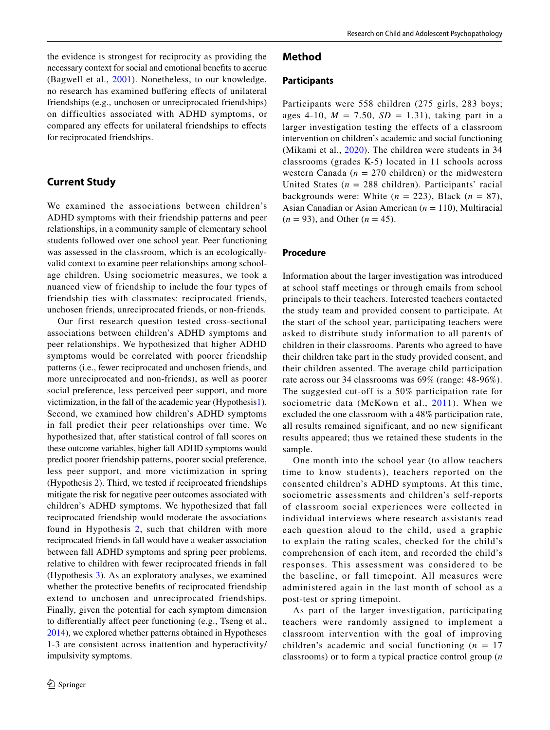the evidence is strongest for reciprocity as providing the necessary context for social and emotional benefts to accrue (Bagwell et al., [2001\)](#page-12-1). Nonetheless, to our knowledge, no research has examined bufering efects of unilateral friendships (e.g., unchosen or unreciprocated friendships) on difficulties associated with ADHD symptoms, or compared any efects for unilateral friendships to efects for reciprocated friendships.

# **Current Study**

We examined the associations between children's ADHD symptoms with their friendship patterns and peer relationships, in a community sample of elementary school students followed over one school year. Peer functioning was assessed in the classroom, which is an ecologicallyvalid context to examine peer relationships among schoolage children. Using sociometric measures, we took a nuanced view of friendship to include the four types of friendship ties with classmates: reciprocated friends, unchosen friends, unreciprocated friends, or non-friends*.*

Our first research question tested cross-sectional associations between children's ADHD symptoms and peer relationships. We hypothesized that higher ADHD symptoms would be correlated with poorer friendship patterns (i.e., fewer reciprocated and unchosen friends, and more unreciprocated and non-friends), as well as poorer social preference, less perceived peer support, and more victimization, in the fall of the academic year (Hypothesi[s1](#page-4-0)). Second, we examined how children's ADHD symptoms in fall predict their peer relationships over time. We hypothesized that, after statistical control of fall scores on these outcome variables, higher fall ADHD symptoms would predict poorer friendship patterns, poorer social preference, less peer support, and more victimization in spring (Hypothesis [2](#page-5-0)). Third, we tested if reciprocated friendships mitigate the risk for negative peer outcomes associated with children's ADHD symptoms. We hypothesized that fall reciprocated friendship would moderate the associations found in Hypothesis [2,](#page-5-0) such that children with more reciprocated friends in fall would have a weaker association between fall ADHD symptoms and spring peer problems, relative to children with fewer reciprocated friends in fall (Hypothesis [3\)](#page-5-1). As an exploratory analyses, we examined whether the protective benefts of reciprocated friendship extend to unchosen and unreciprocated friendships. Finally, given the potential for each symptom dimension to diferentially afect peer functioning (e.g., Tseng et al., [2014\)](#page-13-5), we explored whether patterns obtained in Hypotheses 1-3 are consistent across inattention and hyperactivity/ impulsivity symptoms.

## **Method**

### **Participants**

Participants were 558 children (275 girls, 283 boys; ages 4-10,  $M = 7.50$ ,  $SD = 1.31$ ), taking part in a larger investigation testing the effects of a classroom intervention on children's academic and social functioning (Mikami et al., [2020](#page-13-11)). The children were students in 34 classrooms (grades K-5) located in 11 schools across western Canada ( $n = 270$  children) or the midwestern United States  $(n = 288 \text{ children})$ . Participants' racial backgrounds were: White  $(n = 223)$ , Black  $(n = 87)$ , Asian Canadian or Asian American (*n* = 110), Multiracial  $(n = 93)$ , and Other  $(n = 45)$ .

## **Procedure**

Information about the larger investigation was introduced at school staff meetings or through emails from school principals to their teachers. Interested teachers contacted the study team and provided consent to participate. At the start of the school year, participating teachers were asked to distribute study information to all parents of children in their classrooms. Parents who agreed to have their children take part in the study provided consent, and their children assented. The average child participation rate across our 34 classrooms was 69% (range: 48-96%). The suggested cut-off is a 50% participation rate for sociometric data (McKown et al., [2011](#page-13-12)). When we excluded the one classroom with a 48% participation rate, all results remained significant, and no new significant results appeared; thus we retained these students in the sample.

One month into the school year (to allow teachers time to know students), teachers reported on the consented children's ADHD symptoms. At this time, sociometric assessments and children's self-reports of classroom social experiences were collected in individual interviews where research assistants read each question aloud to the child, used a graphic to explain the rating scales, checked for the child's comprehension of each item, and recorded the child's responses. This assessment was considered to be the baseline, or fall timepoint. All measures were administered again in the last month of school as a post-test or spring timepoint.

As part of the larger investigation, participating teachers were randomly assigned to implement a classroom intervention with the goal of improving children's academic and social functioning  $(n = 17)$ classrooms) or to form a typical practice control group (*n*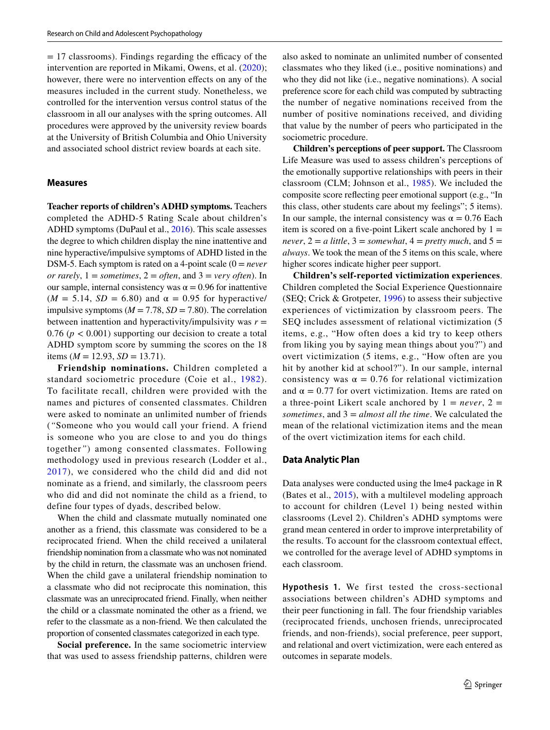$= 17$  classrooms). Findings regarding the efficacy of the intervention are reported in Mikami, Owens, et al. [\(2020](#page-13-11)); however, there were no intervention effects on any of the measures included in the current study. Nonetheless, we controlled for the intervention versus control status of the classroom in all our analyses with the spring outcomes. All procedures were approved by the university review boards at the University of British Columbia and Ohio University and associated school district review boards at each site.

#### **Measures**

**Teacher reports of children's ADHD symptoms.** Teachers completed the ADHD-5 Rating Scale about children's ADHD symptoms (DuPaul et al., [2016\)](#page-12-13). This scale assesses the degree to which children display the nine inattentive and nine hyperactive/impulsive symptoms of ADHD listed in the DSM-5. Each symptom is rated on a 4-point scale (0 = *never or rarely*,  $1 =$  *sometimes*,  $2 =$  *often*, and  $3 =$  *very often*). In our sample, internal consistency was  $\alpha = 0.96$  for inattentive ( $M = 5.14$ ,  $SD = 6.80$ ) and  $\alpha = 0.95$  for hyperactive/ impulsive symptoms  $(M = 7.78, SD = 7.80)$ . The correlation between inattention and hyperactivity/impulsivity was  $r =$  $0.76$  ( $p < 0.001$ ) supporting our decision to create a total ADHD symptom score by summing the scores on the 18 items ( $M = 12.93$ ,  $SD = 13.71$ ).

**Friendship nominations.** Children completed a standard sociometric procedure (Coie et al., [1982\)](#page-12-14). To facilitate recall, children were provided with the names and pictures of consented classmates. Children were asked to nominate an unlimited number of friends (*"*Someone who you would call your friend. A friend is someone who you are close to and you do things together*"*) among consented classmates. Following methodology used in previous research (Lodder et al., [2017](#page-13-8)), we considered who the child did and did not nominate as a friend, and similarly, the classroom peers who did and did not nominate the child as a friend, to define four types of dyads, described below.

When the child and classmate mutually nominated one another as a friend, this classmate was considered to be a reciprocated friend. When the child received a unilateral friendship nomination from a classmate who was not nominated by the child in return, the classmate was an unchosen friend. When the child gave a unilateral friendship nomination to a classmate who did not reciprocate this nomination, this classmate was an unreciprocated friend. Finally, when neither the child or a classmate nominated the other as a friend, we refer to the classmate as a non-friend. We then calculated the proportion of consented classmates categorized in each type.

**Social preference.** In the same sociometric interview that was used to assess friendship patterns, children were also asked to nominate an unlimited number of consented classmates who they liked (i.e., positive nominations) and who they did not like (i.e., negative nominations). A social preference score for each child was computed by subtracting the number of negative nominations received from the number of positive nominations received, and dividing that value by the number of peers who participated in the sociometric procedure.

**Children's perceptions of peer support.** The Classroom Life Measure was used to assess children's perceptions of the emotionally supportive relationships with peers in their classroom (CLM; Johnson et al., [1985\)](#page-12-15). We included the composite score refecting peer emotional support (e.g., "In this class, other students care about my feelings"; 5 items). In our sample, the internal consistency was  $\alpha = 0.76$  Each item is scored on a five-point Likert scale anchored by  $1 =$ *never*,  $2 = a$  *little*,  $3 =$  *somewhat*,  $4 =$  *pretty much*, and  $5 =$ *always*. We took the mean of the 5 items on this scale, where higher scores indicate higher peer support.

**Children's self-reported victimization experiences**. Children completed the Social Experience Questionnaire (SEQ; Crick & Grotpeter, [1996\)](#page-12-16) to assess their subjective experiences of victimization by classroom peers. The SEQ includes assessment of relational victimization (5 items, e.g., "How often does a kid try to keep others from liking you by saying mean things about you?") and overt victimization (5 items, e.g., "How often are you hit by another kid at school?"). In our sample, internal consistency was  $\alpha = 0.76$  for relational victimization and  $\alpha = 0.77$  for overt victimization. Items are rated on a three-point Likert scale anchored by  $1 = never$ ,  $2 =$ *sometimes*, and 3 = *almost all the time*. We calculated the mean of the relational victimization items and the mean of the overt victimization items for each child.

#### **Data Analytic Plan**

Data analyses were conducted using the lme4 package in R (Bates et al., [2015](#page-12-17)), with a multilevel modeling approach to account for children (Level 1) being nested within classrooms (Level 2). Children's ADHD symptoms were grand mean centered in order to improve interpretability of the results. To account for the classroom contextual efect, we controlled for the average level of ADHD symptoms in each classroom.

<span id="page-4-0"></span>**Hypothesis 1.** We first tested the cross-sectional associations between children's ADHD symptoms and their peer functioning in fall. The four friendship variables (reciprocated friends, unchosen friends, unreciprocated friends, and non-friends), social preference, peer support, and relational and overt victimization, were each entered as outcomes in separate models.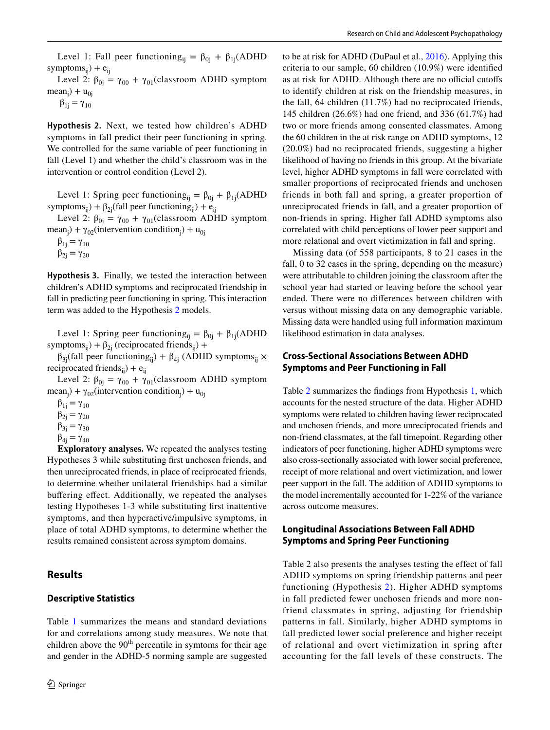Level 2:  $\beta_{0i} = \gamma_{00} + \gamma_{01}$ (classroom ADHD symptom  $mean_j$ ) +  $u_{0j}$ 

 $β_{1j} = γ_{10}$ 

<span id="page-5-0"></span>**Hypothesis 2.** Next, we tested how children's ADHD symptoms in fall predict their peer functioning in spring. We controlled for the same variable of peer functioning in fall (Level 1) and whether the child's classroom was in the intervention or control condition (Level 2).

Level 1: Spring peer functioning<sub>ij</sub> =  $\beta_{0i} + \beta_{1i}$ (ADHD symptoms<sub>ii</sub>) +  $\beta_{2i}$ (fall peer functioning<sub>ii</sub>) + e<sub>ii</sub>

Level 2:  $\beta_{0j} = \gamma_{00} + \gamma_{01}$ (classroom ADHD symptom mean<sub>j</sub>) +  $\gamma_{02}$ (intervention condition<sub>j</sub>) + u<sub>0j</sub>

 $\beta_{1i} = \gamma_{10}$  $\beta_{2i} = \gamma_{20}$ 

<span id="page-5-1"></span>**Hypothesis 3.** Finally, we tested the interaction between children's ADHD symptoms and reciprocated friendship in fall in predicting peer functioning in spring. This interaction term was added to the Hypothesis [2](#page-5-0) models.

Level 1: Spring peer functioning<sub>ij</sub> =  $\beta_{0i} + \beta_{1i}$ (ADHD symptoms<sub>ii</sub>) +  $\beta_{2i}$  (reciprocated friends<sub>ii</sub>) +

 $β_{3j}$ (fall peer functioning<sub>ij</sub>) +  $β_{4j}$  (ADHD symptoms<sub>ij</sub> × reciprocated friends<sub>ii</sub>) +  $e_{ii}$ 

Level 2:  $\beta_{0i} = \gamma_{00} + \gamma_{01}$ (classroom ADHD symptom mean<sub>j</sub>) +  $\gamma_{02}$ (intervention condition<sub>j</sub>) + u<sub>0j</sub>

 $β_{1i} = γ_{10}$  $β_{2j} = γ_{20}$ 

$$
\beta_{3j}=\gamma_{30}
$$

$$
\beta_{4j}=\gamma_{40}
$$

**Exploratory analyses.** We repeated the analyses testing Hypotheses 3 while substituting frst unchosen friends, and then unreciprocated friends, in place of reciprocated friends, to determine whether unilateral friendships had a similar buffering effect. Additionally, we repeated the analyses testing Hypotheses 1-3 while substituting frst inattentive symptoms, and then hyperactive/impulsive symptoms, in place of total ADHD symptoms, to determine whether the results remained consistent across symptom domains.

# **Results**

# **Descriptive Statistics**

Table [1](#page-6-0) summarizes the means and standard deviations for and correlations among study measures. We note that children above the  $90<sup>th</sup>$  percentile in symtoms for their age and gender in the ADHD-5 norming sample are suggested to be at risk for ADHD (DuPaul et al., [2016](#page-12-13)). Applying this criteria to our sample, 60 children (10.9%) were identifed as at risk for ADHD. Although there are no official cutoffs to identify children at risk on the friendship measures, in the fall, 64 children (11.7%) had no reciprocated friends, 145 children (26.6%) had one friend, and 336 (61.7%) had two or more friends among consented classmates. Among the 60 children in the at risk range on ADHD symptoms, 12 (20.0%) had no reciprocated friends, suggesting a higher likelihood of having no friends in this group. At the bivariate level, higher ADHD symptoms in fall were correlated with smaller proportions of reciprocated friends and unchosen friends in both fall and spring, a greater proportion of unreciprocated friends in fall, and a greater proportion of non-friends in spring. Higher fall ADHD symptoms also correlated with child perceptions of lower peer support and more relational and overt victimization in fall and spring.

Missing data (of 558 participants, 8 to 21 cases in the fall, 0 to 32 cases in the spring, depending on the measure) were attributable to children joining the classroom after the school year had started or leaving before the school year ended. There were no diferences between children with versus without missing data on any demographic variable. Missing data were handled using full information maximum likelihood estimation in data analyses.

# **Cross‑Sectional Associations Between ADHD Symptoms and Peer Functioning in Fall**

Table [2](#page-7-0) summarizes the fndings from Hypothesis [1,](#page-4-0) which accounts for the nested structure of the data. Higher ADHD symptoms were related to children having fewer reciprocated and unchosen friends, and more unreciprocated friends and non-friend classmates, at the fall timepoint. Regarding other indicators of peer functioning, higher ADHD symptoms were also cross-sectionally associated with lower social preference, receipt of more relational and overt victimization, and lower peer support in the fall. The addition of ADHD symptoms to the model incrementally accounted for 1-22% of the variance across outcome measures.

# **Longitudinal Associations Between Fall ADHD Symptoms and Spring Peer Functioning**

Table 2 also presents the analyses testing the effect of fall ADHD symptoms on spring friendship patterns and peer functioning (Hypothesis [2](#page-5-0)). Higher ADHD symptoms in fall predicted fewer unchosen friends and more nonfriend classmates in spring, adjusting for friendship patterns in fall. Similarly, higher ADHD symptoms in fall predicted lower social preference and higher receipt of relational and overt victimization in spring after accounting for the fall levels of these constructs. The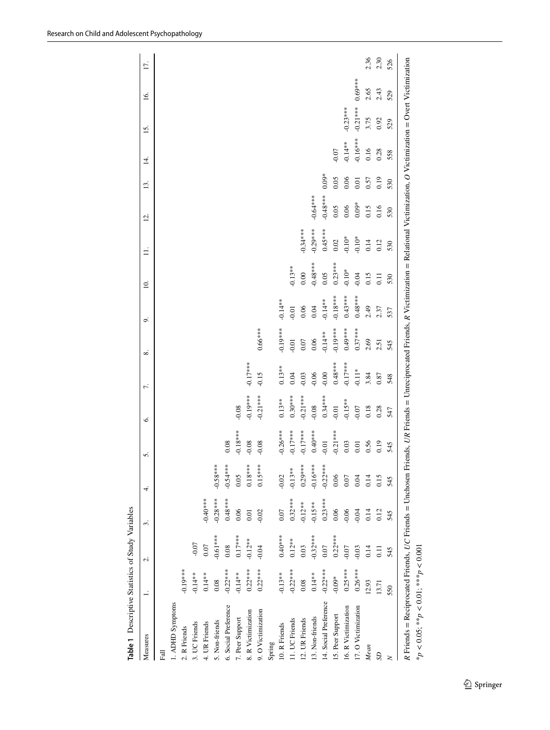<span id="page-6-0"></span>

| $-0.61***$<br>$-0.07$<br>0.07<br>0.08<br>$-0.19***$<br>$-0.22***$<br>$-0.14**$<br>$0.14**$<br>0.08<br>1. ADHD Symptoms<br>6. Social Preference<br>5. Non-friends<br>4. UR Friends<br>3. UC Friends<br>2. R Friends<br>Fall |            |            | 5.         | Ġ.         | 7.         | ∞          | o,         | $\overline{10}$ . | $\exists$  | Ξ,         | 13.     | Ξ.         | 15.        | <u>16</u> . | 17.  |
|----------------------------------------------------------------------------------------------------------------------------------------------------------------------------------------------------------------------------|------------|------------|------------|------------|------------|------------|------------|-------------------|------------|------------|---------|------------|------------|-------------|------|
|                                                                                                                                                                                                                            |            |            |            |            |            |            |            |                   |            |            |         |            |            |             |      |
|                                                                                                                                                                                                                            |            |            |            |            |            |            |            |                   |            |            |         |            |            |             |      |
|                                                                                                                                                                                                                            |            |            |            |            |            |            |            |                   |            |            |         |            |            |             |      |
|                                                                                                                                                                                                                            |            |            |            |            |            |            |            |                   |            |            |         |            |            |             |      |
|                                                                                                                                                                                                                            | $-0.40**$  |            |            |            |            |            |            |                   |            |            |         |            |            |             |      |
|                                                                                                                                                                                                                            | $-0.28***$ | $-0.58***$ |            |            |            |            |            |                   |            |            |         |            |            |             |      |
|                                                                                                                                                                                                                            | $0.48***$  | $-0.54***$ | 0.08       |            |            |            |            |                   |            |            |         |            |            |             |      |
| $0.17***$<br>$-0.14**$<br>7. Peer Support                                                                                                                                                                                  | 0.06       | 0.05       | $-0.18***$ | $-0.08$    |            |            |            |                   |            |            |         |            |            |             |      |
| $-0.12**$<br>$0.22***$<br>8. R Victimization                                                                                                                                                                               | 0.01       | $0.18***$  | $-0.08$    | $-0.19***$ | $-0.17***$ |            |            |                   |            |            |         |            |            |             |      |
| $-0.04$<br>$0.22***$<br>9. O Victimization                                                                                                                                                                                 | $-0.02$    | $0.15***$  | 0.08       | $-0.21***$ | $-0.15$    | $0.66***$  |            |                   |            |            |         |            |            |             |      |
| Spring                                                                                                                                                                                                                     |            |            |            |            |            |            |            |                   |            |            |         |            |            |             |      |
| $0.40***$<br>$-0.13**$<br>10. R Friends                                                                                                                                                                                    | 0.07       | $-0.02$    | $-0.26***$ | $0.13**$   | $0.13**$   | $-0.19***$ | $-0.14**$  |                   |            |            |         |            |            |             |      |
| $0.12***$<br>$-0.22***$<br>11. UC Friends                                                                                                                                                                                  | $0.32***$  | $-0.13**$  | $-0.17***$ | $0.30***$  | 0.04       | $-0.01$    | $-0.01$    | $0.13**$          |            |            |         |            |            |             |      |
| 0.03<br>0.08<br>12. UR Friends                                                                                                                                                                                             | $-0.12**$  | $0.29***$  | $-0.17***$ | $-0.21***$ | $-0.03$    | 0.07       | 0.06       | 0.00              | $-0.34***$ |            |         |            |            |             |      |
| $-0.32***$<br>$0.14**$<br>13. Non-friends                                                                                                                                                                                  | $-0.15**$  | $-0.16***$ | $0.40***$  | $-0.08$    | $-0.06$    | 0.06       | 0.04       | $-0.48***$        | $-0.29***$ | $-0.64***$ |         |            |            |             |      |
| 0.07<br>$-0.22***$<br>14. Social Preference                                                                                                                                                                                | $0.23***$  | $-0.22***$ | $-0.01$    | $0.34***$  | $-0.00$    | $-0.14**$  | $-0.14**$  | 0.05              | $0.45***$  | $-0.48***$ | $0.09*$ |            |            |             |      |
| $0.22***$<br>$-0.09*$<br>15. Peer Support                                                                                                                                                                                  | 0.06       | 0.06       | $-0.21***$ | $-0.01$    | $0.48***$  | $-0.19***$ | $-0.18***$ | $0.23***$         | $0.02\,$   | 0.05       | 0.05    | 0.07       |            |             |      |
| $-0.07$<br>$0.25***$<br>16. R Victimization                                                                                                                                                                                | $-0.06$    | 0.07       | 0.03       | $-0.15**$  | $-0.17***$ | $0.49***$  | $0.43***$  | $-0.10*$          | $-0.10*$   | 0.06       | 0.06    | $-0.14**$  | $-0.23***$ |             |      |
| $-0.03$<br>$0.26***$<br>17. O Victimization                                                                                                                                                                                | $-0.04$    | 0.04       | 0.01       | $-0.07$    | $-0.11*$   | $0.37***$  | $0.48***$  | $-0.04$           | $-0.10*$   | $0.09*$    | 0.01    | $-0.16***$ | $-0.21***$ | $0.69***$   |      |
| 0.14<br>12.93<br>Mean                                                                                                                                                                                                      | 0.14       | 0.14       | 0.56       | 0.18       | 3.84       | 2.69       | 2.49       | 0.15              | 0.14       | 0.15       | 0.57    | 0.16       | 3.75       | 2.65        | 2.36 |
| 0.11<br>13.71<br>S                                                                                                                                                                                                         | 0.12       | 0.15       | 0.19       | 0.28       | 0.87       | 2.51       | 2.37       | $\overline{0}$ .  | 0.12       | 0.16       | 0.19    | 0.28       | 0.92       | 2.43        | 2.30 |
| 545<br>550<br>$\geq$                                                                                                                                                                                                       | 545        | 545        | 545        | 547        | 548        | 545        | 537        | 530               | 530        | 530        | 530     | 558        | 529        | 529         | 526  |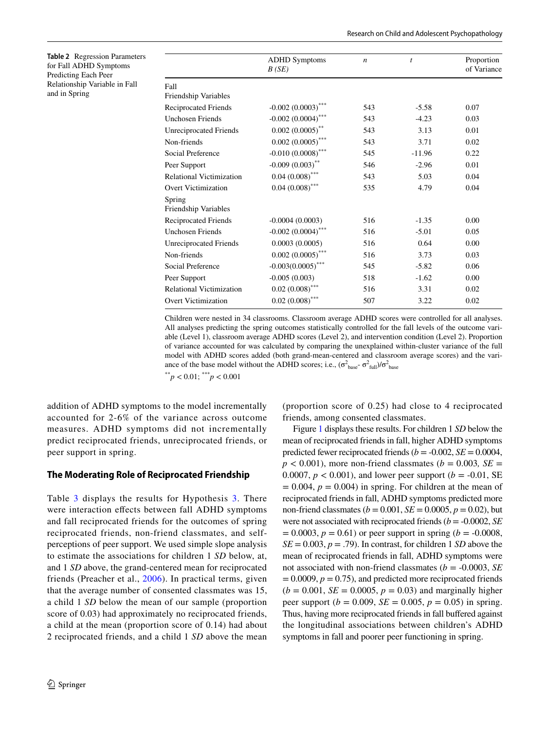<span id="page-7-0"></span>

| Table 2 Regression Parameters |
|-------------------------------|
| for Fall ADHD Symptoms        |
| Predicting Each Peer          |
| Relationship Variable in Fall |
| and in Spring                 |

|                                | <b>ADHD</b> Symptoms<br>B(SE)    | $\boldsymbol{n}$ | $\boldsymbol{t}$ | Proportion<br>of Variance |
|--------------------------------|----------------------------------|------------------|------------------|---------------------------|
| Fall                           |                                  |                  |                  |                           |
| Friendship Variables           |                                  |                  |                  |                           |
| <b>Reciprocated Friends</b>    | $-0.002$ $(0.0003)$ ***          | 543              | $-5.58$          | 0.07                      |
| <b>Unchosen Friends</b>        | $-0.002$ $(0.0004)$ ***          | 543              | $-4.23$          | 0.03                      |
| <b>Unreciprocated Friends</b>  | $0.002$ $(0.0005)$ <sup>**</sup> | 543              | 3.13             | 0.01                      |
| Non-friends                    | $0.002$ $(0.0005)$ ***           | 543              | 3.71             | 0.02                      |
| Social Preference              | $-0.010(0.0008)$ ***             | 545              | $-11.96$         | 0.22                      |
| Peer Support                   | $-0.009(0.003)$ **               | 546              | $-2.96$          | 0.01                      |
| Relational Victimization       | $0.04(0.008)$ ***                | 543              | 5.03             | 0.04                      |
| <b>Overt Victimization</b>     | $0.04~(0.008)$ ***               | 535              | 4.79             | 0.04                      |
| Spring<br>Friendship Variables |                                  |                  |                  |                           |
| <b>Reciprocated Friends</b>    | $-0.0004(0.0003)$                | 516              | $-1.35$          | 0.00                      |
| <b>Unchosen Friends</b>        | $-0.002$ $(0.0004)$ ***          | 516              | $-5.01$          | 0.05                      |
| <b>Unreciprocated Friends</b>  | 0.0003(0.0005)                   | 516              | 0.64             | 0.00                      |
| Non-friends                    | $0.002$ $(0.0005)$ ***           | 516              | 3.73             | 0.03                      |
| Social Preference              | $-0.003(0.0005)$ ***             | 545              | $-5.82$          | 0.06                      |
| Peer Support                   | $-0.005(0.003)$                  | 518              | $-1.62$          | 0.00                      |
| Relational Victimization       | $0.02\,\left(0.008\right)^{***}$ | 516              | 3.31             | 0.02                      |
| <b>Overt Victimization</b>     | $0.02$ $(0.008)$ ***             | 507              | 3.22             | 0.02                      |
|                                |                                  |                  |                  |                           |

Children were nested in 34 classrooms. Classroom average ADHD scores were controlled for all analyses. All analyses predicting the spring outcomes statistically controlled for the fall levels of the outcome variable (Level 1), classroom average ADHD scores (Level 2), and intervention condition (Level 2). Proportion of variance accounted for was calculated by comparing the unexplained within-cluster variance of the full model with ADHD scores added (both grand-mean-centered and classroom average scores) and the variance of the base model without the ADHD scores; i.e.,  $(\sigma_{base}^2 - \sigma_{full}^2)/\sigma_{base}^2$ \*\**p* < 0.01; \*\*\**p* < 0.001

addition of ADHD symptoms to the model incrementally accounted for 2-6% of the variance across outcome measures. ADHD symptoms did not incrementally predict reciprocated friends, unreciprocated friends, or peer support in spring.

## **The Moderating Role of Reciprocated Friendship**

Table [3](#page-8-0) displays the results for Hypothesis [3.](#page-5-1) There were interaction effects between fall ADHD symptoms and fall reciprocated friends for the outcomes of spring reciprocated friends, non-friend classmates, and selfperceptions of peer support. We used simple slope analysis to estimate the associations for children 1 *SD* below, at, and 1 *SD* above, the grand-centered mean for reciprocated friends (Preacher et al., [2006](#page-13-13)). In practical terms, given that the average number of consented classmates was 15, a child 1 *SD* below the mean of our sample (proportion score of 0.03) had approximately no reciprocated friends, a child at the mean (proportion score of 0.14) had about 2 reciprocated friends, and a child 1 *SD* above the mean (proportion score of 0.25) had close to 4 reciprocated friends, among consented classmates.

Figure [1](#page-8-1) displays these results. For children 1 *SD* below the mean of reciprocated friends in fall, higher ADHD symptoms predicted fewer reciprocated friends  $(b = -0.002, SE = 0.0004,$  $p < 0.001$ ), more non-friend classmates ( $b = 0.003$ , *SE* = 0.0007,  $p < 0.001$ ), and lower peer support ( $b = -0.01$ , SE  $= 0.004$ ,  $p = 0.004$ ) in spring. For children at the mean of reciprocated friends in fall, ADHD symptoms predicted more non-friend classmates ( $b = 0.001$ ,  $SE = 0.0005$ ,  $p = 0.02$ ), but were not associated with reciprocated friends (*b* = -0.0002, *SE*  $p = 0.0003$ ,  $p = 0.61$ ) or peer support in spring (*b* = -0.0008,  $SE = 0.003$ ,  $p = .79$ ). In contrast, for children 1 *SD* above the mean of reciprocated friends in fall, ADHD symptoms were not associated with non-friend classmates ( $b = -0.0003$ , *SE*  $= 0.0009, p = 0.75$ , and predicted more reciprocated friends  $(b = 0.001, SE = 0.0005, p = 0.03)$  and marginally higher peer support ( $b = 0.009$ ,  $SE = 0.005$ ,  $p = 0.05$ ) in spring. Thus, having more reciprocated friends in fall buffered against the longitudinal associations between children's ADHD symptoms in fall and poorer peer functioning in spring.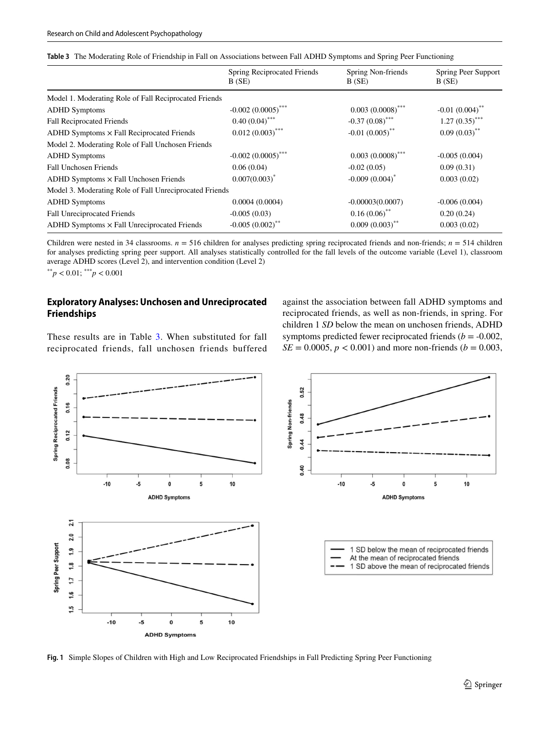<span id="page-8-0"></span>

|  |  | Table 3 The Moderating Role of Friendship in Fall on Associations between Fall ADHD Symptoms and Spring Peer Functioning |  |  |  |  |  |  |  |
|--|--|--------------------------------------------------------------------------------------------------------------------------|--|--|--|--|--|--|--|
|--|--|--------------------------------------------------------------------------------------------------------------------------|--|--|--|--|--|--|--|

|                                                         | Spring Reciprocated Friends<br>B(SE) | Spring Non-friends<br>B(SE)  | Spring Peer Support<br>B(SE) |
|---------------------------------------------------------|--------------------------------------|------------------------------|------------------------------|
| Model 1. Moderating Role of Fall Reciprocated Friends   |                                      |                              |                              |
| <b>ADHD</b> Symptoms                                    | $-0.002$ $(0.0005)$ ***              | $0.003(0.0008)$ ***          | $-0.01(0.004)$ <sup>**</sup> |
| <b>Fall Reciprocated Friends</b>                        | $0.40(0.04)$ ***                     | $-0.37(0.08)$ ***            | $1.27(0.35)$ ***             |
| $ADHD$ Symptoms $\times$ Fall Reciprocated Friends      | $0.012(0.003)$ ***                   | $-0.01(0.005)$ <sup>**</sup> | $0.09(0.03)$ **              |
| Model 2. Moderating Role of Fall Unchosen Friends       |                                      |                              |                              |
| <b>ADHD</b> Symptoms                                    | $-0.002$ $(0.0005)$ ***              | $0.003(0.0008)$ ***          | $-0.005(0.004)$              |
| Fall Unchosen Friends                                   | 0.06(0.04)                           | $-0.02(0.05)$                | 0.09(0.31)                   |
| $ADHD$ Symptoms $\times$ Fall Unchosen Friends          | $0.007(0.003)^*$                     | $-0.009(0.004)^*$            | 0.003(0.02)                  |
| Model 3. Moderating Role of Fall Unreciprocated Friends |                                      |                              |                              |
| <b>ADHD</b> Symptoms                                    | 0.0004(0.0004)                       | $-0.00003(0.0007)$           | $-0.006(0.004)$              |
| Fall Unreciprocated Friends                             | $-0.005(0.03)$                       | $0.16(0.06)$ **              | 0.20(0.24)                   |
| $ADHD$ Symptoms $\times$ Fall Unreciprocated Friends    | $-0.005(0.002)$ **                   | $0.009(0.003)$ **            | 0.003(0.02)                  |

Children were nested in 34 classrooms.  $n = 516$  children for analyses predicting spring reciprocated friends and non-friends;  $n = 514$  children for analyses predicting spring peer support. All analyses statistically controlled for the fall levels of the outcome variable (Level 1), classroom average ADHD scores (Level 2), and intervention condition (Level 2)

 $*$ <sup>\*</sup>*p* < 0.01;  $*$ <sup>\*</sup><sup>\*</sup>*p* < 0.001

## **Exploratory Analyses: Unchosen and Unreciprocated Friendships**

These results are in Table [3.](#page-8-0) When substituted for fall reciprocated friends, fall unchosen friends buffered against the association between fall ADHD symptoms and reciprocated friends, as well as non-friends, in spring. For children 1 *SD* below the mean on unchosen friends, ADHD symptoms predicted fewer reciprocated friends ( $b = -0.002$ ,  $SE = 0.0005$ ,  $p < 0.001$ ) and more non-friends ( $b = 0.003$ ,



<span id="page-8-1"></span>**Fig. 1** Simple Slopes of Children with High and Low Reciprocated Friendships in Fall Predicting Spring Peer Functioning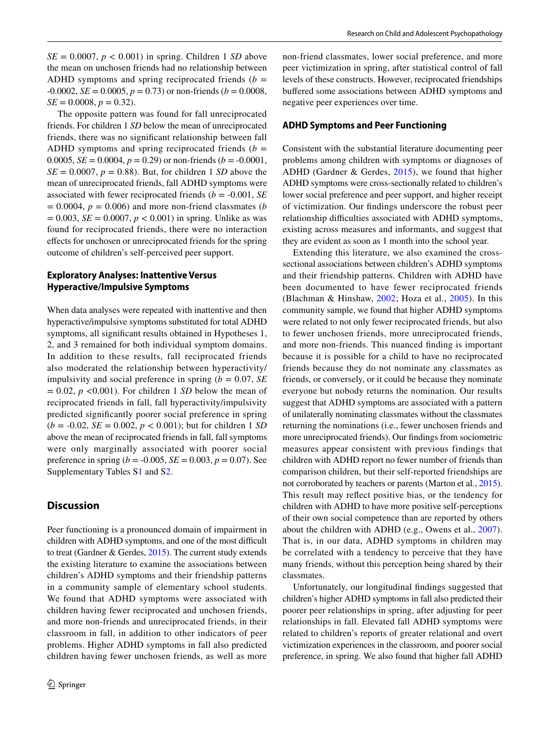$SE = 0.0007$ ,  $p < 0.001$ ) in spring. Children 1 *SD* above the mean on unchosen friends had no relationship between ADHD symptoms and spring reciprocated friends  $(b =$  $-0.0002$ , *SE* = 0.0005, *p* = 0.73) or non-friends (*b* = 0.0008,  $SE = 0.0008, p = 0.32$ .

The opposite pattern was found for fall unreciprocated friends. For children 1 *SD* below the mean of unreciprocated friends, there was no signifcant relationship between fall ADHD symptoms and spring reciprocated friends  $(b =$ 0.0005,  $SE = 0.0004$ ,  $p = 0.29$ ) or non-friends ( $b = -0.0001$ ,  $SE = 0.0007$ ,  $p = 0.88$ ). But, for children 1 *SD* above the mean of unreciprocated friends, fall ADHD symptoms were associated with fewer reciprocated friends (*b* = -0.001, *SE*  $p = 0.0004$ ,  $p = 0.006$ ) and more non-friend classmates (*b*)  $= 0.003$ , *SE* = 0.0007, *p* < 0.001) in spring. Unlike as was found for reciprocated friends, there were no interaction efects for unchosen or unreciprocated friends for the spring outcome of children's self-perceived peer support.

## **Exploratory Analyses: Inattentive Versus Hyperactive/Impulsive Symptoms**

When data analyses were repeated with inattentive and then hyperactive/impulsive symptoms substituted for total ADHD symptoms, all signifcant results obtained in Hypotheses 1, 2, and 3 remained for both individual symptom domains. In addition to these results, fall reciprocated friends also moderated the relationship between hyperactivity/ impulsivity and social preference in spring  $(b = 0.07, SE)$  $= 0.02$ ,  $p \le 0.001$ ). For children 1 *SD* below the mean of reciprocated friends in fall, fall hyperactivity/impulsivity predicted signifcantly poorer social preference in spring  $(b = -0.02, SE = 0.002, p < 0.001)$ ; but for children 1 *SD* above the mean of reciprocated friends in fall, fall symptoms were only marginally associated with poorer social preference in spring ( $b = -0.005$ ,  $SE = 0.003$ ,  $p = 0.07$ ). See Supplementary Tables S1 and S2.

# **Discussion**

Peer functioning is a pronounced domain of impairment in children with ADHD symptoms, and one of the most difficult to treat (Gardner & Gerdes, [2015](#page-12-0)). The current study extends the existing literature to examine the associations between children's ADHD symptoms and their friendship patterns in a community sample of elementary school students. We found that ADHD symptoms were associated with children having fewer reciprocated and unchosen friends, and more non-friends and unreciprocated friends, in their classroom in fall, in addition to other indicators of peer problems. Higher ADHD symptoms in fall also predicted children having fewer unchosen friends, as well as more non-friend classmates, lower social preference, and more peer victimization in spring, after statistical control of fall levels of these constructs. However, reciprocated friendships bufered some associations between ADHD symptoms and negative peer experiences over time.

#### **ADHD Symptoms and Peer Functioning**

Consistent with the substantial literature documenting peer problems among children with symptoms or diagnoses of ADHD (Gardner & Gerdes, [2015\)](#page-12-0), we found that higher ADHD symptoms were cross-sectionally related to children's lower social preference and peer support, and higher receipt of victimization. Our fndings underscore the robust peer relationship difficulties associated with ADHD symptoms, existing across measures and informants, and suggest that they are evident as soon as 1 month into the school year.

Extending this literature, we also examined the crosssectional associations between children's ADHD symptoms and their friendship patterns. Children with ADHD have been documented to have fewer reciprocated friends (Blachman & Hinshaw, [2002;](#page-12-5) Hoza et al., [2005\)](#page-12-2). In this community sample, we found that higher ADHD symptoms were related to not only fewer reciprocated friends, but also to fewer unchosen friends, more unreciprocated friends, and more non-friends. This nuanced fnding is important because it is possible for a child to have no reciprocated friends because they do not nominate any classmates as friends, or conversely, or it could be because they nominate everyone but nobody returns the nomination. Our results suggest that ADHD symptoms are associated with a pattern of unilaterally nominating classmates without the classmates returning the nominations (i.e., fewer unchosen friends and more unreciprocated friends). Our fndings from sociometric measures appear consistent with previous findings that children with ADHD report no fewer number of friends than comparison children, but their self-reported friendships are not corroborated by teachers or parents (Marton et al., [2015](#page-13-0)). This result may refect positive bias, or the tendency for children with ADHD to have more positive self-perceptions of their own social competence than are reported by others about the children with ADHD (e.g., Owens et al., [2007](#page-13-14)). That is, in our data, ADHD symptoms in children may be correlated with a tendency to perceive that they have many friends, without this perception being shared by their classmates.

Unfortunately, our longitudinal fndings suggested that children's higher ADHD symptoms in fall also predicted their poorer peer relationships in spring, after adjusting for peer relationships in fall. Elevated fall ADHD symptoms were related to children's reports of greater relational and overt victimization experiences in the classroom, and poorer social preference, in spring. We also found that higher fall ADHD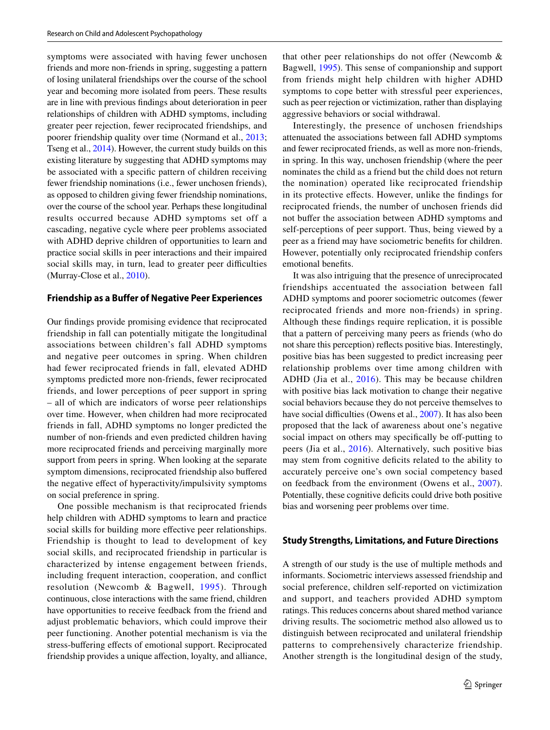symptoms were associated with having fewer unchosen friends and more non-friends in spring, suggesting a pattern of losing unilateral friendships over the course of the school year and becoming more isolated from peers. These results are in line with previous fndings about deterioration in peer relationships of children with ADHD symptoms, including greater peer rejection, fewer reciprocated friendships, and poorer friendship quality over time (Normand et al., [2013](#page-13-3); Tseng et al., [2014](#page-13-5)). However, the current study builds on this existing literature by suggesting that ADHD symptoms may be associated with a specifc pattern of children receiving fewer friendship nominations (i.e., fewer unchosen friends), as opposed to children giving fewer friendship nominations, over the course of the school year. Perhaps these longitudinal results occurred because ADHD symptoms set off a cascading, negative cycle where peer problems associated with ADHD deprive children of opportunities to learn and practice social skills in peer interactions and their impaired social skills may, in turn, lead to greater peer difficulties (Murray-Close et al., [2010\)](#page-13-6).

#### **Friendship as a Buffer of Negative Peer Experiences**

Our fndings provide promising evidence that reciprocated friendship in fall can potentially mitigate the longitudinal associations between children's fall ADHD symptoms and negative peer outcomes in spring. When children had fewer reciprocated friends in fall, elevated ADHD symptoms predicted more non-friends, fewer reciprocated friends, and lower perceptions of peer support in spring – all of which are indicators of worse peer relationships over time. However, when children had more reciprocated friends in fall, ADHD symptoms no longer predicted the number of non-friends and even predicted children having more reciprocated friends and perceiving marginally more support from peers in spring. When looking at the separate symptom dimensions, reciprocated friendship also bufered the negative efect of hyperactivity/impulsivity symptoms on social preference in spring.

One possible mechanism is that reciprocated friends help children with ADHD symptoms to learn and practice social skills for building more effective peer relationships. Friendship is thought to lead to development of key social skills, and reciprocated friendship in particular is characterized by intense engagement between friends, including frequent interaction, cooperation, and confict resolution (Newcomb & Bagwell, [1995\)](#page-13-9). Through continuous, close interactions with the same friend, children have opportunities to receive feedback from the friend and adjust problematic behaviors, which could improve their peer functioning. Another potential mechanism is via the stress-buffering effects of emotional support. Reciprocated friendship provides a unique afection, loyalty, and alliance, that other peer relationships do not offer (Newcomb & Bagwell, [1995](#page-13-9)). This sense of companionship and support from friends might help children with higher ADHD symptoms to cope better with stressful peer experiences, such as peer rejection or victimization, rather than displaying aggressive behaviors or social withdrawal.

Interestingly, the presence of unchosen friendships attenuated the associations between fall ADHD symptoms and fewer reciprocated friends, as well as more non-friends, in spring. In this way, unchosen friendship (where the peer nominates the child as a friend but the child does not return the nomination) operated like reciprocated friendship in its protective efects. However, unlike the fndings for reciprocated friends, the number of unchosen friends did not bufer the association between ADHD symptoms and self-perceptions of peer support. Thus, being viewed by a peer as a friend may have sociometric benefts for children. However, potentially only reciprocated friendship confers emotional benefts.

It was also intriguing that the presence of unreciprocated friendships accentuated the association between fall ADHD symptoms and poorer sociometric outcomes (fewer reciprocated friends and more non-friends) in spring. Although these fndings require replication, it is possible that a pattern of perceiving many peers as friends (who do not share this perception) refects positive bias. Interestingly, positive bias has been suggested to predict increasing peer relationship problems over time among children with ADHD (Jia et al., [2016\)](#page-12-18). This may be because children with positive bias lack motivation to change their negative social behaviors because they do not perceive themselves to have social difficulties (Owens et al., [2007\)](#page-13-14). It has also been proposed that the lack of awareness about one's negative social impact on others may specifically be off-putting to peers (Jia et al., [2016](#page-12-18)). Alternatively, such positive bias may stem from cognitive defcits related to the ability to accurately perceive one's own social competency based on feedback from the environment (Owens et al., [2007](#page-13-14)). Potentially, these cognitive deficits could drive both positive bias and worsening peer problems over time.

#### **Study Strengths, Limitations, and Future Directions**

A strength of our study is the use of multiple methods and informants. Sociometric interviews assessed friendship and social preference, children self-reported on victimization and support, and teachers provided ADHD symptom ratings. This reduces concerns about shared method variance driving results. The sociometric method also allowed us to distinguish between reciprocated and unilateral friendship patterns to comprehensively characterize friendship. Another strength is the longitudinal design of the study,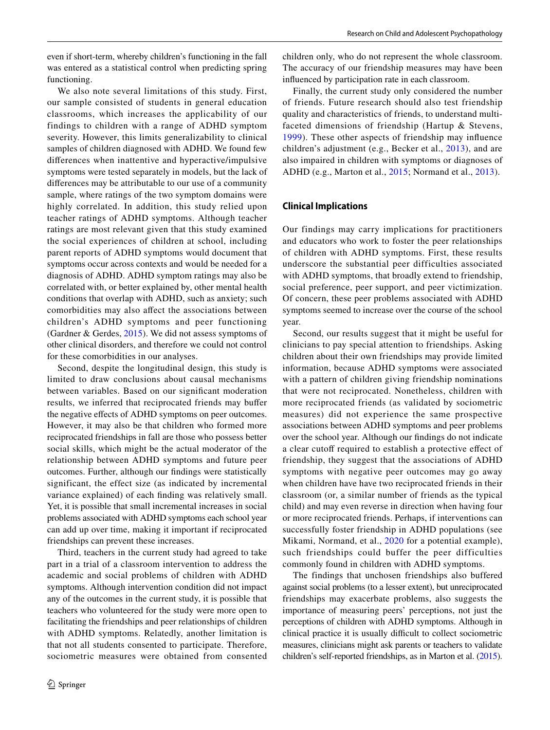even if short-term, whereby children's functioning in the fall was entered as a statistical control when predicting spring functioning.

We also note several limitations of this study. First, our sample consisted of students in general education classrooms, which increases the applicability of our findings to children with a range of ADHD symptom severity. However, this limits generalizability to clinical samples of children diagnosed with ADHD. We found few diferences when inattentive and hyperactive/impulsive symptoms were tested separately in models, but the lack of diferences may be attributable to our use of a community sample, where ratings of the two symptom domains were highly correlated. In addition, this study relied upon teacher ratings of ADHD symptoms. Although teacher ratings are most relevant given that this study examined the social experiences of children at school, including parent reports of ADHD symptoms would document that symptoms occur across contexts and would be needed for a diagnosis of ADHD. ADHD symptom ratings may also be correlated with, or better explained by, other mental health conditions that overlap with ADHD, such as anxiety; such comorbidities may also afect the associations between children's ADHD symptoms and peer functioning (Gardner & Gerdes, [2015](#page-12-0)). We did not assess symptoms of other clinical disorders, and therefore we could not control for these comorbidities in our analyses.

Second, despite the longitudinal design, this study is limited to draw conclusions about causal mechanisms between variables. Based on our signifcant moderation results, we inferred that reciprocated friends may bufer the negative efects of ADHD symptoms on peer outcomes. However, it may also be that children who formed more reciprocated friendships in fall are those who possess better social skills, which might be the actual moderator of the relationship between ADHD symptoms and future peer outcomes. Further, although our fndings were statistically significant, the effect size (as indicated by incremental variance explained) of each fnding was relatively small. Yet, it is possible that small incremental increases in social problems associated with ADHD symptoms each school year can add up over time, making it important if reciprocated friendships can prevent these increases.

Third, teachers in the current study had agreed to take part in a trial of a classroom intervention to address the academic and social problems of children with ADHD symptoms. Although intervention condition did not impact any of the outcomes in the current study, it is possible that teachers who volunteered for the study were more open to facilitating the friendships and peer relationships of children with ADHD symptoms. Relatedly, another limitation is that not all students consented to participate. Therefore, sociometric measures were obtained from consented children only, who do not represent the whole classroom. The accuracy of our friendship measures may have been infuenced by participation rate in each classroom.

Finally, the current study only considered the number of friends. Future research should also test friendship quality and characteristics of friends, to understand multifaceted dimensions of friendship (Hartup & Stevens, [1999](#page-12-19)). These other aspects of friendship may infuence children's adjustment (e.g., Becker et al., [2013](#page-12-11)), and are also impaired in children with symptoms or diagnoses of ADHD (e.g., Marton et al., [2015](#page-13-0); Normand et al., [2013\)](#page-13-3).

#### **Clinical Implications**

Our findings may carry implications for practitioners and educators who work to foster the peer relationships of children with ADHD symptoms. First, these results underscore the substantial peer difficulties associated with ADHD symptoms, that broadly extend to friendship, social preference, peer support, and peer victimization. Of concern, these peer problems associated with ADHD symptoms seemed to increase over the course of the school year.

Second, our results suggest that it might be useful for clinicians to pay special attention to friendships. Asking children about their own friendships may provide limited information, because ADHD symptoms were associated with a pattern of children giving friendship nominations that were not reciprocated. Nonetheless, children with more reciprocated friends (as validated by sociometric measures) did not experience the same prospective associations between ADHD symptoms and peer problems over the school year. Although our fndings do not indicate a clear cutoff required to establish a protective effect of friendship, they suggest that the associations of ADHD symptoms with negative peer outcomes may go away when children have have two reciprocated friends in their classroom (or, a similar number of friends as the typical child) and may even reverse in direction when having four or more reciprocated friends. Perhaps, if interventions can successfully foster friendship in ADHD populations (see Mikami, Normand, et al., [2020](#page-13-15) for a potential example), such friendships could buffer the peer difficulties commonly found in children with ADHD symptoms.

The findings that unchosen friendships also buffered against social problems (to a lesser extent), but unreciprocated friendships may exacerbate problems, also suggests the importance of measuring peers' perceptions, not just the perceptions of children with ADHD symptoms. Although in clinical practice it is usually difficult to collect sociometric measures, clinicians might ask parents or teachers to validate children's self-reported friendships, as in Marton et al. [\(2015\)](#page-13-0).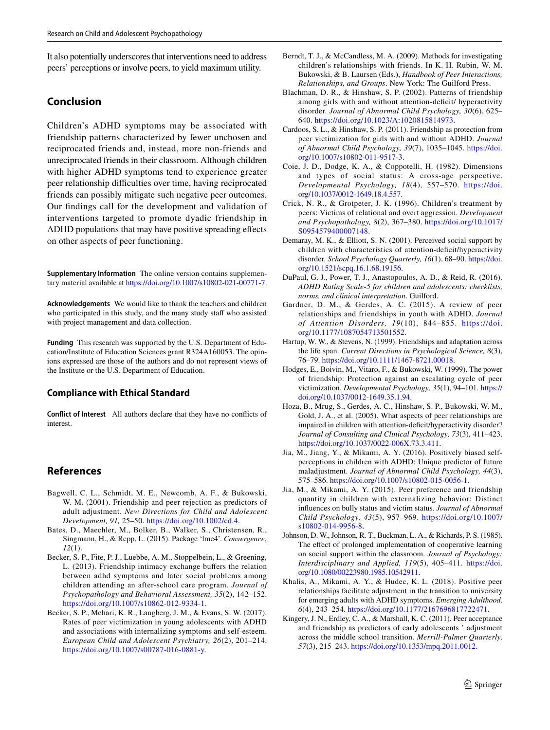It also potentially underscores that interventions need to address peers' perceptions or involve peers, to yield maximum utility.

# **Conclusion**

Children's ADHD symptoms may be associated with friendship patterns characterized by fewer unchosen and reciprocated friends and, instead, more non-friends and unreciprocated friends in their classroom. Although children with higher ADHD symptoms tend to experience greater peer relationship difficulties over time, having reciprocated friends can possibly mitigate such negative peer outcomes. Our fndings call for the development and validation of interventions targeted to promote dyadic friendship in ADHD populations that may have positive spreading efects on other aspects of peer functioning.

**Supplementary Information** The online version contains supplementary material available at<https://doi.org/10.1007/s10802-021-00771-7>.

**Acknowledgements** We would like to thank the teachers and children who participated in this study, and the many study staff who assisted with project management and data collection.

**Funding** This research was supported by the U.S. Department of Education/Institute of Education Sciences grant R324A160053. The opinions expressed are those of the authors and do not represent views of the Institute or the U.S. Department of Education.

## **Compliance with Ethical Standard**

**Conflict of Interest** All authors declare that they have no conficts of interest.

# **References**

- <span id="page-12-1"></span>Bagwell, C. L., Schmidt, M. E., Newcomb, A. F., & Bukowski, W. M. (2001). Friendship and peer rejection as predictors of adult adjustment. *New Directions for Child and Adolescent Development, 91,* 25–50. [https://doi.org/10.1002/cd.4.](https://doi.org/10.1002/cd.4)
- <span id="page-12-17"></span>Bates, D., Maechler, M., Bolker, B., Walker, S., Christensen, R., Singmann, H., & Rcpp, L. (2015). Package 'lme4'. *Convergence*, *12*(1).
- <span id="page-12-11"></span>Becker, S. P., Fite, P. J., Luebbe, A. M., Stoppelbein, L., & Greening, L. (2013). Friendship intimacy exchange buffers the relation between adhd symptoms and later social problems among children attending an after-school care program. *Journal of Psychopathology and Behavioral Assessment, 35*(2), 142–152. [https://doi.org/10.1007/s10862-012-9334-1.](https://doi.org/10.1007/s10862-012-9334-1)
- <span id="page-12-3"></span>Becker, S. P., Mehari, K. R., Langberg, J. M., & Evans, S. W. (2017). Rates of peer victimization in young adolescents with ADHD and associations with internalizing symptoms and self-esteem. *European Child and Adolescent Psychiatry, 26*(2), 201–214. <https://doi.org/10.1007/s00787-016-0881-y>.
- <span id="page-12-6"></span>Berndt, T. J., & McCandless, M. A. (2009). Methods for investigating children's relationships with friends. In K. H. Rubin, W. M. Bukowski, & B. Laursen (Eds.), *Handbook of Peer Interactions, Relationships, and Groups*. New York: The Guilford Press.
- <span id="page-12-5"></span>Blachman, D. R., & Hinshaw, S. P. (2002). Patterns of friendship among girls with and without attention-deficit/ hyperactivity disorder. *Journal of Abnormal Child Psychology, 30*(6), 625– 640. <https://doi.org/10.1023/A:1020815814973>.
- <span id="page-12-9"></span>Cardoos, S. L., & Hinshaw, S. P. (2011). Friendship as protection from peer victimization for girls with and without ADHD. *Journal of Abnormal Child Psychology, 39*(7), 1035–1045. [https://doi.](https://doi.org/10.1007/s10802-011-9517-3) [org/10.1007/s10802-011-9517-3.](https://doi.org/10.1007/s10802-011-9517-3)
- <span id="page-12-14"></span>Coie, J. D., Dodge, K. A., & Coppotelli, H. (1982). Dimensions and types of social status: A cross-age perspective. *Developmental Psychology, 18*(4), 557–570. [https://doi.](https://doi.org/10.1037/0012-1649.18.4.557) [org/10.1037/0012-1649.18.4.557](https://doi.org/10.1037/0012-1649.18.4.557).
- <span id="page-12-16"></span>Crick, N. R., & Grotpeter, J. K. (1996). Children's treatment by peers: Victims of relational and overt aggression. *Development and Psychopathology, 8*(2), 367–380. [https://doi.org/10.1017/](https://doi.org/10.1017/S0954579400007148) [S0954579400007148.](https://doi.org/10.1017/S0954579400007148)
- <span id="page-12-4"></span>Demaray, M. K., & Elliott, S. N. (2001). Perceived social support by children with characteristics of attention-deficit/hyperactivity disorder. *School Psychology Quarterly, 16*(1), 68–90. [https://doi.](https://doi.org/10.1521/scpq.16.1.68.19156) [org/10.1521/scpq.16.1.68.19156.](https://doi.org/10.1521/scpq.16.1.68.19156)
- <span id="page-12-13"></span>DuPaul, G. J., Power, T. J., Anastopoulos, A. D., & Reid, R. (2016). *ADHD Rating Scale-5 for children and adolescents: checklists, norms, and clinical interpretation*. Guilford.
- <span id="page-12-0"></span>Gardner, D. M., & Gerdes, A. C. (2015). A review of peer relationships and friendships in youth with ADHD. *Journal of Attention Disorders, 19*(10), 844–855. [https://doi.](https://doi.org/10.1177/1087054713501552) [org/10.1177/1087054713501552](https://doi.org/10.1177/1087054713501552).
- <span id="page-12-19"></span>Hartup, W. W., & Stevens, N. (1999). Friendships and adaptation across the life span. *Current Directions in Psychological Science, 8*(3), 76–79. [https://doi.org/10.1111/1467-8721.00018.](https://doi.org/10.1111/1467-8721.00018)
- <span id="page-12-8"></span>Hodges, E., Boivin, M., Vitaro, F., & Bukowski, W. (1999). The power of friendship: Protection against an escalating cycle of peer victimization. *Developmental Psychology, 35*(1), 94–101. [https://](https://doi.org/10.1037/0012-1649.35.1.94) [doi.org/10.1037/0012-1649.35.1.94](https://doi.org/10.1037/0012-1649.35.1.94).
- <span id="page-12-2"></span>Hoza, B., Mrug, S., Gerdes, A. C., Hinshaw, S. P., Bukowski, W. M., Gold, J. A., et al. (2005). What aspects of peer relationships are impaired in children with attention-deficit/hyperactivity disorder? *Journal of Consulting and Clinical Psychology, 73*(3), 411–423. [https://doi.org/10.1037/0022-006X.73.3.411.](https://doi.org/10.1037/0022-006X.73.3.411)
- <span id="page-12-18"></span>Jia, M., Jiang, Y., & Mikami, A. Y. (2016). Positively biased selfperceptions in children with ADHD: Unique predictor of future maladjustment. *Journal of Abnormal Child Psychology, 44*(3), 575–586.<https://doi.org/10.1007/s10802-015-0056-1>.
- <span id="page-12-10"></span>Jia, M., & Mikami, A. Y. (2015). Peer preference and friendship quantity in children with externalizing behavior: Distinct infuences on bully status and victim status. *Journal of Abnormal Child Psychology, 43*(5), 957–969. [https://doi.org/10.1007/](https://doi.org/10.1007/s10802-014-9956-8) [s10802-014-9956-8](https://doi.org/10.1007/s10802-014-9956-8).
- <span id="page-12-15"></span>Johnson, D. W., Johnson, R. T., Buckman, L. A., & Richards, P. S. (1985). The effect of prolonged implementation of cooperative learning on social support within the classroom. *Journal of Psychology: Interdisciplinary and Applied, 119*(5), 405–411. [https://doi.](https://doi.org/10.1080/00223980.1985.10542911) [org/10.1080/00223980.1985.10542911](https://doi.org/10.1080/00223980.1985.10542911).
- <span id="page-12-12"></span>Khalis, A., Mikami, A. Y., & Hudec, K. L. (2018). Positive peer relationships facilitate adjustment in the transition to university for emerging adults with ADHD symptoms. *Emerging Adulthood, 6*(4), 243–254. <https://doi.org/10.1177/2167696817722471>.
- <span id="page-12-7"></span>Kingery, J. N., Erdley, C. A., & Marshall, K. C. (2011). Peer acceptance and friendship as predictors of early adolescents ' adjustment across the middle school transition. *Merrill-Palmer Quarterly, 57*(3), 215–243.<https://doi.org/10.1353/mpq.2011.0012>.